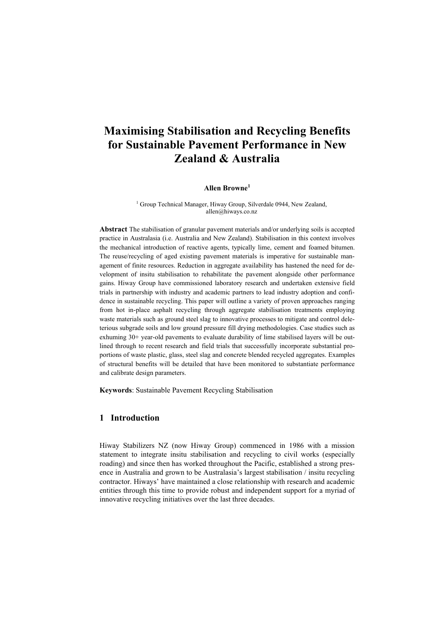# **Maximising Stabilisation and Recycling Benefits for Sustainable Pavement Performance in New Zealand & Australia**

### **Allen Browne<sup>1</sup>**

<sup>1</sup> Group Technical Manager, Hiway Group, Silverdale 0944, New Zealand, allen@hiways.co.nz

**Abstract** The stabilisation of granular pavement materials and/or underlying soils is accepted practice in Australasia (i.e. Australia and New Zealand). Stabilisation in this context involves the mechanical introduction of reactive agents, typically lime, cement and foamed bitumen. The reuse/recycling of aged existing pavement materials is imperative for sustainable management of finite resources. Reduction in aggregate availability has hastened the need for development of insitu stabilisation to rehabilitate the pavement alongside other performance gains. Hiway Group have commissioned laboratory research and undertaken extensive field trials in partnership with industry and academic partners to lead industry adoption and confidence in sustainable recycling. This paper will outline a variety of proven approaches ranging from hot in-place asphalt recycling through aggregate stabilisation treatments employing waste materials such as ground steel slag to innovative processes to mitigate and control deleterious subgrade soils and low ground pressure fill drying methodologies. Case studies such as exhuming 30+ year-old pavements to evaluate durability of lime stabilised layers will be outlined through to recent research and field trials that successfully incorporate substantial proportions of waste plastic, glass, steel slag and concrete blended recycled aggregates. Examples of structural benefits will be detailed that have been monitored to substantiate performance and calibrate design parameters.

**Keywords**: Sustainable Pavement Recycling Stabilisation

## **1 Introduction**

Hiway Stabilizers NZ (now Hiway Group) commenced in 1986 with a mission statement to integrate insitu stabilisation and recycling to civil works (especially roading) and since then has worked throughout the Pacific, established a strong presence in Australia and grown to be Australasia's largest stabilisation / insitu recycling contractor. Hiways' have maintained a close relationship with research and academic entities through this time to provide robust and independent support for a myriad of innovative recycling initiatives over the last three decades.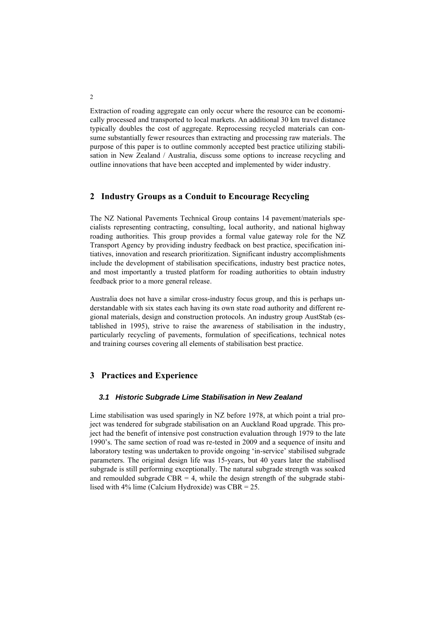Extraction of roading aggregate can only occur where the resource can be economically processed and transported to local markets. An additional 30 km travel distance typically doubles the cost of aggregate. Reprocessing recycled materials can consume substantially fewer resources than extracting and processing raw materials. The purpose of this paper is to outline commonly accepted best practice utilizing stabilisation in New Zealand / Australia, discuss some options to increase recycling and outline innovations that have been accepted and implemented by wider industry.

## **2 Industry Groups as a Conduit to Encourage Recycling**

The NZ National Pavements Technical Group contains 14 pavement/materials specialists representing contracting, consulting, local authority, and national highway roading authorities. This group provides a formal value gateway role for the NZ Transport Agency by providing industry feedback on best practice, specification initiatives, innovation and research prioritization. Significant industry accomplishments include the development of stabilisation specifications, industry best practice notes, and most importantly a trusted platform for roading authorities to obtain industry feedback prior to a more general release.

Australia does not have a similar cross-industry focus group, and this is perhaps understandable with six states each having its own state road authority and different regional materials, design and construction protocols. An industry group AustStab (established in 1995), strive to raise the awareness of stabilisation in the industry, particularly recycling of pavements, formulation of specifications, technical notes and training courses covering all elements of stabilisation best practice.

# **3 Practices and Experience**

#### *3.1 Historic Subgrade Lime Stabilisation in New Zealand*

Lime stabilisation was used sparingly in NZ before 1978, at which point a trial project was tendered for subgrade stabilisation on an Auckland Road upgrade. This project had the benefit of intensive post construction evaluation through 1979 to the late 1990's. The same section of road was re-tested in 2009 and a sequence of insitu and laboratory testing was undertaken to provide ongoing 'in-service' stabilised subgrade parameters. The original design life was 15-years, but 40 years later the stabilised subgrade is still performing exceptionally. The natural subgrade strength was soaked and remoulded subgrade CBR = 4, while the design strength of the subgrade stabilised with 4% lime (Calcium Hydroxide) was  $CBR = 25$ .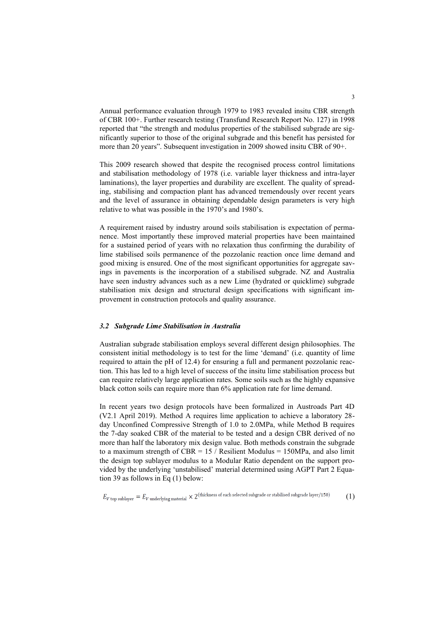Annual performance evaluation through 1979 to 1983 revealed insitu CBR strength of CBR 100+. Further research testing (Transfund Research Report No. 127) in 1998 reported that "the strength and modulus properties of the stabilised subgrade are significantly superior to those of the original subgrade and this benefit has persisted for more than 20 years". Subsequent investigation in 2009 showed insitu CBR of 90+.

This 2009 research showed that despite the recognised process control limitations and stabilisation methodology of 1978 (i.e. variable layer thickness and intra-layer laminations), the layer properties and durability are excellent. The quality of spreading, stabilising and compaction plant has advanced tremendously over recent years and the level of assurance in obtaining dependable design parameters is very high relative to what was possible in the 1970's and 1980's.

A requirement raised by industry around soils stabilisation is expectation of permanence. Most importantly these improved material properties have been maintained for a sustained period of years with no relaxation thus confirming the durability of lime stabilised soils permanence of the pozzolanic reaction once lime demand and good mixing is ensured. One of the most significant opportunities for aggregate savings in pavements is the incorporation of a stabilised subgrade. NZ and Australia have seen industry advances such as a new Lime (hydrated or quicklime) subgrade stabilisation mix design and structural design specifications with significant improvement in construction protocols and quality assurance.

#### *3.2 Subgrade Lime Stabilisation in Australia*

Australian subgrade stabilisation employs several different design philosophies. The consistent initial methodology is to test for the lime 'demand' (i.e. quantity of lime required to attain the pH of 12.4) for ensuring a full and permanent pozzolanic reaction. This has led to a high level of success of the insitu lime stabilisation process but can require relatively large application rates. Some soils such as the highly expansive black cotton soils can require more than 6% application rate for lime demand.

In recent years two design protocols have been formalized in Austroads Part 4D (V2.1 April 2019). Method A requires lime application to achieve a laboratory 28 day Unconfined Compressive Strength of 1.0 to 2.0MPa, while Method B requires the 7-day soaked CBR of the material to be tested and a design CBR derived of no more than half the laboratory mix design value. Both methods constrain the subgrade to a maximum strength of CBR =  $15$  / Resilient Modulus =  $150MPa$ , and also limit the design top sublayer modulus to a Modular Ratio dependent on the support provided by the underlying 'unstabilised' material determined using AGPT Part 2 Equation 39 as follows in Eq (1) below:

 $E_{V\;\mathrm{top\; sublayer}}=E_{V\;\mathrm{underlying\; material}}\times2^{(\mathrm{thickness\; of\; each\; selected\; subgrade\; or\; stabilised\; subgrade\; layer/150)}$ (1)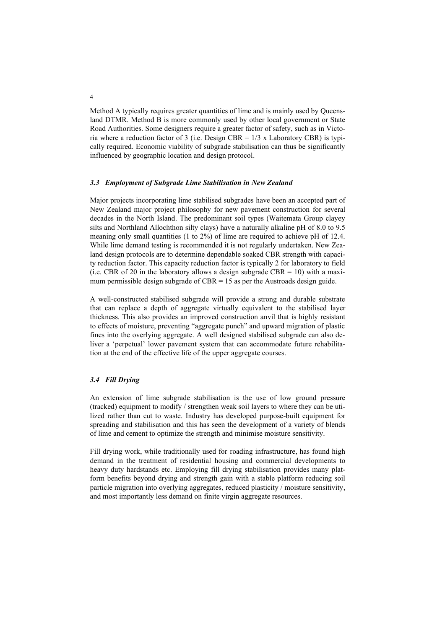Method A typically requires greater quantities of lime and is mainly used by Queensland DTMR. Method B is more commonly used by other local government or State Road Authorities. Some designers require a greater factor of safety, such as in Victoria where a reduction factor of 3 (i.e. Design CBR =  $1/3$  x Laboratory CBR) is typically required. Economic viability of subgrade stabilisation can thus be significantly influenced by geographic location and design protocol.

#### *3.3 Employment of Subgrade Lime Stabilisation in New Zealand*

Major projects incorporating lime stabilised subgrades have been an accepted part of New Zealand major project philosophy for new pavement construction for several decades in the North Island. The predominant soil types (Waitemata Group clayey silts and Northland Allochthon silty clays) have a naturally alkaline pH of 8.0 to 9.5 meaning only small quantities (1 to 2%) of lime are required to achieve pH of 12.4. While lime demand testing is recommended it is not regularly undertaken. New Zealand design protocols are to determine dependable soaked CBR strength with capacity reduction factor. This capacity reduction factor is typically 2 for laboratory to field (i.e. CBR of 20 in the laboratory allows a design subgrade CBR = 10) with a maximum permissible design subgrade of  $CBR = 15$  as per the Austroads design guide.

A well-constructed stabilised subgrade will provide a strong and durable substrate that can replace a depth of aggregate virtually equivalent to the stabilised layer thickness. This also provides an improved construction anvil that is highly resistant to effects of moisture, preventing "aggregate punch" and upward migration of plastic fines into the overlying aggregate. A well designed stabilised subgrade can also deliver a 'perpetual' lower pavement system that can accommodate future rehabilitation at the end of the effective life of the upper aggregate courses.

### *3.4 Fill Drying*

An extension of lime subgrade stabilisation is the use of low ground pressure (tracked) equipment to modify / strengthen weak soil layers to where they can be utilized rather than cut to waste. Industry has developed purpose-built equipment for spreading and stabilisation and this has seen the development of a variety of blends of lime and cement to optimize the strength and minimise moisture sensitivity.

Fill drying work, while traditionally used for roading infrastructure, has found high demand in the treatment of residential housing and commercial developments to heavy duty hardstands etc. Employing fill drying stabilisation provides many platform benefits beyond drying and strength gain with a stable platform reducing soil particle migration into overlying aggregates, reduced plasticity / moisture sensitivity, and most importantly less demand on finite virgin aggregate resources.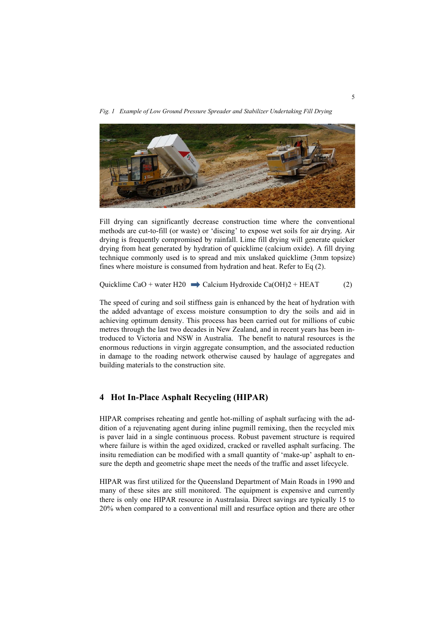*Fig. 1 Example of Low Ground Pressure Spreader and Stabilizer Undertaking Fill Drying*



Fill drying can significantly decrease construction time where the conventional methods are cut-to-fill (or waste) or 'discing' to expose wet soils for air drying. Air drying is frequently compromised by rainfall. Lime fill drying will generate quicker drying from heat generated by hydration of quicklime (calcium oxide). A fill drying technique commonly used is to spread and mix unslaked quicklime (3mm topsize) fines where moisture is consumed from hydration and heat. Refer to Eq (2).

Quicklime CaO + water H20  $\rightarrow$  Calcium Hydroxide Ca(OH)2 + HEAT (2)

The speed of curing and soil stiffness gain is enhanced by the heat of hydration with the added advantage of excess moisture consumption to dry the soils and aid in achieving optimum density. This process has been carried out for millions of cubic metres through the last two decades in New Zealand, and in recent years has been introduced to Victoria and NSW in Australia. The benefit to natural resources is the enormous reductions in virgin aggregate consumption, and the associated reduction in damage to the roading network otherwise caused by haulage of aggregates and building materials to the construction site.

# **4 Hot In-Place Asphalt Recycling (HIPAR)**

HIPAR comprises reheating and gentle hot-milling of asphalt surfacing with the addition of a rejuvenating agent during inline pugmill remixing, then the recycled mix is paver laid in a single continuous process. Robust pavement structure is required where failure is within the aged oxidized, cracked or ravelled asphalt surfacing. The insitu remediation can be modified with a small quantity of 'make-up' asphalt to ensure the depth and geometric shape meet the needs of the traffic and asset lifecycle.

HIPAR was first utilized for the Queensland Department of Main Roads in 1990 and many of these sites are still monitored. The equipment is expensive and currently there is only one HIPAR resource in Australasia. Direct savings are typically 15 to 20% when compared to a conventional mill and resurface option and there are other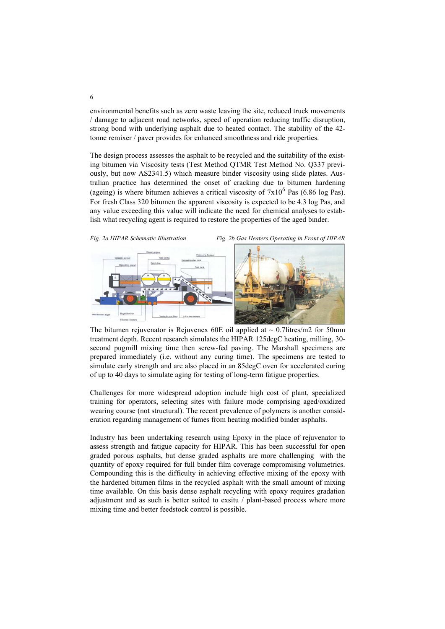environmental benefits such as zero waste leaving the site, reduced truck movements / damage to adjacent road networks, speed of operation reducing traffic disruption, strong bond with underlying asphalt due to heated contact. The stability of the 42 tonne remixer / paver provides for enhanced smoothness and ride properties.

The design process assesses the asphalt to be recycled and the suitability of the existing bitumen via Viscosity tests (Test Method QTMR Test Method No. Q337 previously, but now AS2341.5) which measure binder viscosity using slide plates. Australian practice has determined the onset of cracking due to bitumen hardening (ageing) is where bitumen achieves a critical viscosity of  $7x10^6$  Pas (6.86 log Pas). For fresh Class 320 bitumen the apparent viscosity is expected to be 4.3 log Pas, and any value exceeding this value will indicate the need for chemical analyses to establish what recycling agent is required to restore the properties of the aged binder.



The bitumen rejuvenator is Rejuvenex 60E oil applied at  $\sim 0.7$ litres/m2 for 50mm treatment depth. Recent research simulates the HIPAR 125degC heating, milling, 30 second pugmill mixing time then screw-fed paving. The Marshall specimens are prepared immediately (i.e. without any curing time). The specimens are tested to simulate early strength and are also placed in an 85degC oven for accelerated curing of up to 40 days to simulate aging for testing of long-term fatigue properties.

Challenges for more widespread adoption include high cost of plant, specialized training for operators, selecting sites with failure mode comprising aged/oxidized wearing course (not structural). The recent prevalence of polymers is another consideration regarding management of fumes from heating modified binder asphalts.

Industry has been undertaking research using Epoxy in the place of rejuvenator to assess strength and fatigue capacity for HIPAR. This has been successful for open graded porous asphalts, but dense graded asphalts are more challenging with the quantity of epoxy required for full binder film coverage compromising volumetrics. Compounding this is the difficulty in achieving effective mixing of the epoxy with the hardened bitumen films in the recycled asphalt with the small amount of mixing time available. On this basis dense asphalt recycling with epoxy requires gradation adjustment and as such is better suited to exsitu / plant-based process where more mixing time and better feedstock control is possible.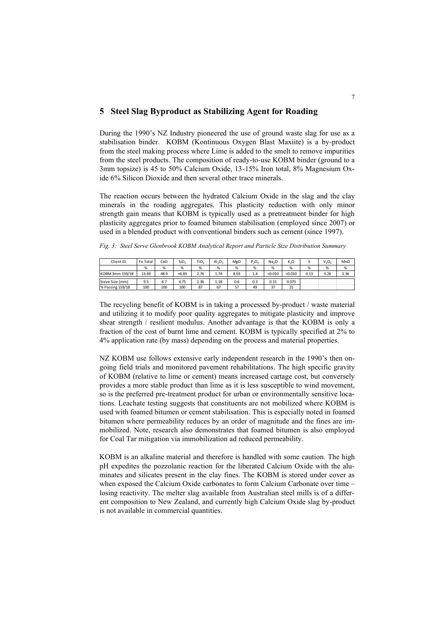## **5 Steel Slag Byproduct as Stabilizing Agent for Roading**

During the 1990's NZ Industry pioneered the use of ground waste slag for use as a stabilisation binder. KOBM (Kontinuous Oxygen Blast Maxiite) is a by-product from the steel making process where Lime is added to the smelt to remove impurities from the steel products. The composition of ready-to-use KOBM binder (ground to a 3mm topsize) is 45 to 50% Calcium Oxide, 13-15% Iron total, 8% Magnesium Oxide 6% Silicon Dioxide and then several other trace minerals.

The reaction occurs between the hydrated Calcium Oxide in the slag and the clay minerals in the roading aggregates. This plasticity reduction with only minor strength gain means that KOBM is typically used as a pretreatment binder for high plasticity aggregates prior to foamed bitumen stabilisation (employed since 2007) or used in a blended product with conventional binders such as cement (since 1997).

*Fig. 3: Steel Serve Glenbrook KOBM Analytical Report and Particle Size Distribution Summary*

| Client ID        | Fe Total | CaO  | SiO <sub>2</sub> | TiO <sub>2</sub> | Al <sub>2</sub> O <sub>3</sub> | <b>MgO</b> | $P_2O_5$ | Na <sub>2</sub> O | $K_2O$  |      | $V_2O_3$ | MnO  |
|------------------|----------|------|------------------|------------------|--------------------------------|------------|----------|-------------------|---------|------|----------|------|
|                  | %        | %    | %                | %                | %                              | %          | %        | %                 | %       | %    | %        | %    |
| KOBM 3mm 159/18  | 13.69    | 48.9 | < 6.83           | 2.76             | 1.74                           | 8.03       | 1.4      | < 0.010           | < 0.010 | 0.13 | 3.26     | 2.36 |
| Sieve Size (mm)  | 9.5      | 6.7  | 4.75             | 2.36             | 1.18                           | 0.6        | 0.3      | 0.15              | 0.075   |      |          |      |
| % Passing 159/18 | 100      | 100  | 100              | 87               | 67                             | 57         | 49       | 37                | 21      |      |          |      |

The recycling benefit of KOBM is in taking a processed by-product / waste material and utilizing it to modify poor quality aggregates to mitigate plasticity and improve shear strength / resilient modulus. Another advantage is that the KOBM is only a fraction of the cost of burnt lime and cement. KOBM is typically specified at 2% to 4% application rate (by mass) depending on the process and material properties.

NZ KOBM use follows extensive early independent research in the 1990's then ongoing field trials and monitored pavement rehabilitations. The high specific gravity of KOBM (relative to lime or cement) means increased cartage cost, but conversely provides a more stable product than lime as it is less susceptible to wind movement, so is the preferred pre-treatment product for urban or environmentally sensitive locations. Leachate testing suggests that constituents are not mobilized where KOBM is used with foamed bitumen or cement stabilisation. This is especially noted in foamed bitumen where permeability reduces by an order of magnitude and the fines are immobilized. Note, research also demonstrates that foamed bitumen is also employed for Coal Tar mitigation via immobilization ad reduced permeability.

KOBM is an alkaline material and therefore is handled with some caution. The high pH expedites the pozzolanic reaction for the liberated Calcium Oxide with the aluminates and silicates present in the clay fines. The KOBM is stored under cover as when exposed the Calcium Oxide carbonates to form Calcium Carbonate over time – losing reactivity. The melter slag available from Australian steel mills is of a different composition to New Zealand, and currently high Calcium Oxide slag by-product is not available in commercial quantities.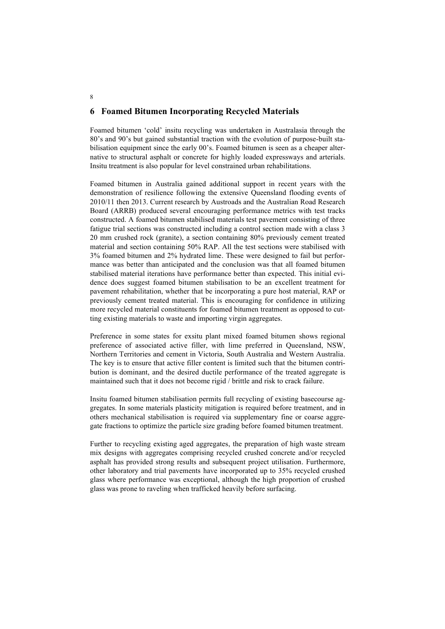## **6 Foamed Bitumen Incorporating Recycled Materials**

Foamed bitumen 'cold' insitu recycling was undertaken in Australasia through the 80's and 90's but gained substantial traction with the evolution of purpose-built stabilisation equipment since the early 00's. Foamed bitumen is seen as a cheaper alternative to structural asphalt or concrete for highly loaded expressways and arterials. Insitu treatment is also popular for level constrained urban rehabilitations.

Foamed bitumen in Australia gained additional support in recent years with the demonstration of resilience following the extensive Queensland flooding events of 2010/11 then 2013. Current research by Austroads and the Australian Road Research Board (ARRB) produced several encouraging performance metrics with test tracks constructed. A foamed bitumen stabilised materials test pavement consisting of three fatigue trial sections was constructed including a control section made with a class 3 20 mm crushed rock (granite), a section containing 80% previously cement treated material and section containing 50% RAP. All the test sections were stabilised with 3% foamed bitumen and 2% hydrated lime. These were designed to fail but performance was better than anticipated and the conclusion was that all foamed bitumen stabilised material iterations have performance better than expected. This initial evidence does suggest foamed bitumen stabilisation to be an excellent treatment for pavement rehabilitation, whether that be incorporating a pure host material, RAP or previously cement treated material. This is encouraging for confidence in utilizing more recycled material constituents for foamed bitumen treatment as opposed to cutting existing materials to waste and importing virgin aggregates.

Preference in some states for exsitu plant mixed foamed bitumen shows regional preference of associated active filler, with lime preferred in Queensland, NSW, Northern Territories and cement in Victoria, South Australia and Western Australia. The key is to ensure that active filler content is limited such that the bitumen contribution is dominant, and the desired ductile performance of the treated aggregate is maintained such that it does not become rigid / brittle and risk to crack failure.

Insitu foamed bitumen stabilisation permits full recycling of existing basecourse aggregates. In some materials plasticity mitigation is required before treatment, and in others mechanical stabilisation is required via supplementary fine or coarse aggregate fractions to optimize the particle size grading before foamed bitumen treatment.

Further to recycling existing aged aggregates, the preparation of high waste stream mix designs with aggregates comprising recycled crushed concrete and/or recycled asphalt has provided strong results and subsequent project utilisation. Furthermore, other laboratory and trial pavements have incorporated up to 35% recycled crushed glass where performance was exceptional, although the high proportion of crushed glass was prone to raveling when trafficked heavily before surfacing.

8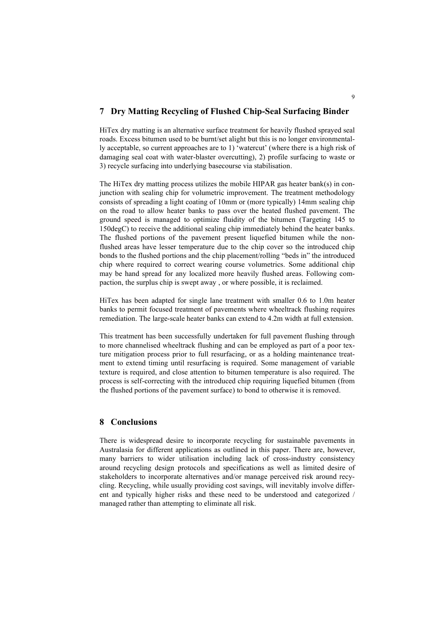## **7 Dry Matting Recycling of Flushed Chip-Seal Surfacing Binder**

HiTex dry matting is an alternative surface treatment for heavily flushed sprayed seal roads. Excess bitumen used to be burnt/set alight but this is no longer environmentally acceptable, so current approaches are to 1) 'watercut' (where there is a high risk of damaging seal coat with water-blaster overcutting), 2) profile surfacing to waste or 3) recycle surfacing into underlying basecourse via stabilisation.

The HiTex dry matting process utilizes the mobile HIPAR gas heater bank(s) in conjunction with sealing chip for volumetric improvement. The treatment methodology consists of spreading a light coating of 10mm or (more typically) 14mm sealing chip on the road to allow heater banks to pass over the heated flushed pavement. The ground speed is managed to optimize fluidity of the bitumen (Targeting 145 to 150degC) to receive the additional sealing chip immediately behind the heater banks. The flushed portions of the pavement present liquefied bitumen while the nonflushed areas have lesser temperature due to the chip cover so the introduced chip bonds to the flushed portions and the chip placement/rolling "beds in" the introduced chip where required to correct wearing course volumetrics. Some additional chip may be hand spread for any localized more heavily flushed areas. Following compaction, the surplus chip is swept away , or where possible, it is reclaimed.

HiTex has been adapted for single lane treatment with smaller 0.6 to 1.0m heater banks to permit focused treatment of pavements where wheeltrack flushing requires remediation. The large-scale heater banks can extend to 4.2m width at full extension.

This treatment has been successfully undertaken for full pavement flushing through to more channelised wheeltrack flushing and can be employed as part of a poor texture mitigation process prior to full resurfacing, or as a holding maintenance treatment to extend timing until resurfacing is required. Some management of variable texture is required, and close attention to bitumen temperature is also required. The process is self-correcting with the introduced chip requiring liquefied bitumen (from the flushed portions of the pavement surface) to bond to otherwise it is removed.

## **8 Conclusions**

There is widespread desire to incorporate recycling for sustainable pavements in Australasia for different applications as outlined in this paper. There are, however, many barriers to wider utilisation including lack of cross-industry consistency around recycling design protocols and specifications as well as limited desire of stakeholders to incorporate alternatives and/or manage perceived risk around recycling. Recycling, while usually providing cost savings, will inevitably involve different and typically higher risks and these need to be understood and categorized / managed rather than attempting to eliminate all risk.